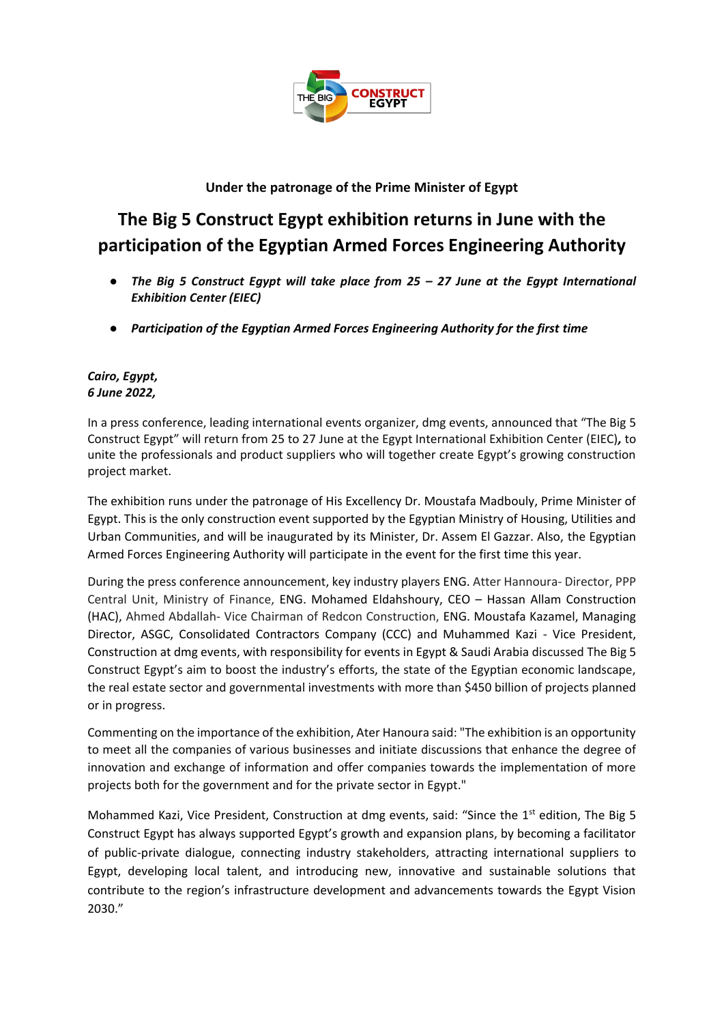

## **Under the patronage of the Prime Minister of Egypt**

# **The Big 5 Construct Egypt exhibition returns in June with the participation of the Egyptian Armed Forces Engineering Authority**

- *The Big 5 Construct Egypt will take place from 25 – 27 June at the Egypt International Exhibition Center (EIEC)*
- *Participation of the Egyptian Armed Forces Engineering Authority for the first time*

#### *Cairo, Egypt, 6 June 2022,*

In a press conference, leading international events organizer, dmg events, announced that "The Big 5 Construct Egypt" will return from 25 to 27 June at the Egypt International Exhibition Center (EIEC)*,* to unite the professionals and product suppliers who will together create Egypt's growing construction project market.

The exhibition runs under the patronage of His Excellency Dr. Moustafa Madbouly, Prime Minister of Egypt. This is the only construction event supported by the Egyptian Ministry of Housing, Utilities and Urban Communities, and will be inaugurated by its Minister, Dr. Assem El Gazzar. Also, the Egyptian Armed Forces Engineering Authority will participate in the event for the first time this year.

During the press conference announcement, key industry players ENG. Atter Hannoura- Director, PPP Central Unit, Ministry of Finance, ENG. Mohamed Eldahshoury, CEO – Hassan Allam Construction (HAC), Ahmed Abdallah- Vice Chairman of Redcon Construction, ENG. Moustafa Kazamel, Managing Director, ASGC, Consolidated Contractors Company (CCC) and Muhammed Kazi - Vice President, Construction at dmg events, with responsibility for events in Egypt & Saudi Arabia discussed The Big 5 Construct Egypt's aim to boost the industry's efforts, the state of the Egyptian economic landscape, the real estate sector and governmental investments with more than \$450 billion of projects planned or in progress.

Commenting on the importance of the exhibition, Ater Hanoura said: "The exhibition is an opportunity to meet all the companies of various businesses and initiate discussions that enhance the degree of innovation and exchange of information and offer companies towards the implementation of more projects both for the government and for the private sector in Egypt."

Mohammed Kazi, Vice President, Construction at dmg events, said: "Since the 1<sup>st</sup> edition, The Big 5 Construct Egypt has always supported Egypt's growth and expansion plans, by becoming a facilitator of public-private dialogue, connecting industry stakeholders, attracting international suppliers to Egypt, developing local talent, and introducing new, innovative and sustainable solutions that contribute to the region's infrastructure development and advancements towards the Egypt Vision 2030."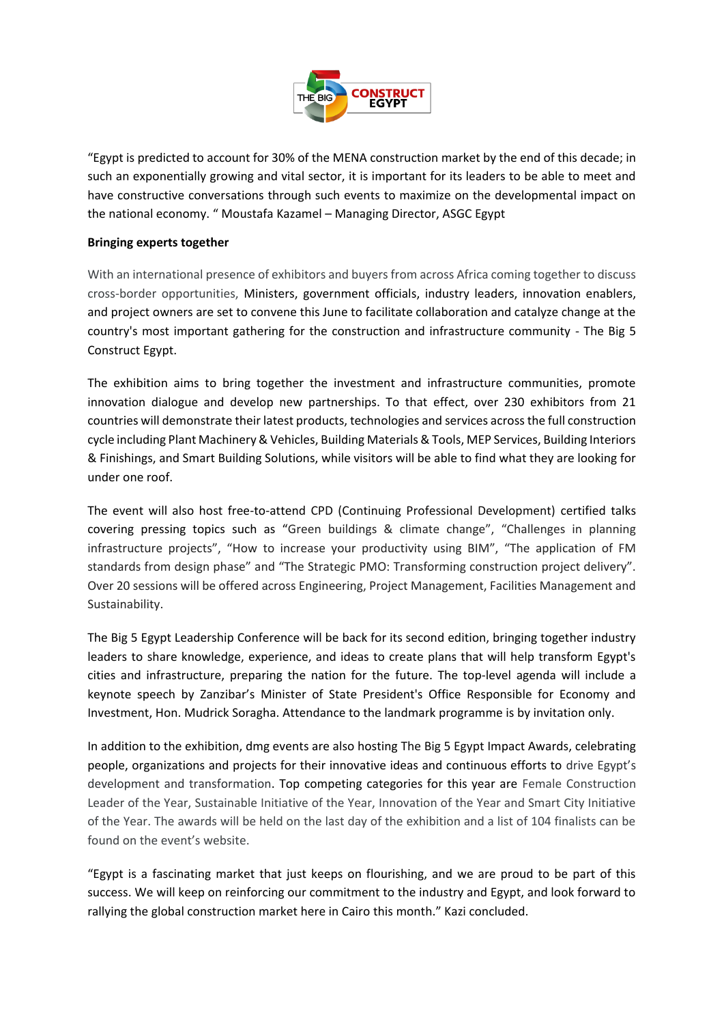

"Egypt is predicted to account for 30% of the MENA construction market by the end of this decade; in such an exponentially growing and vital sector, it is important for its leaders to be able to meet and have constructive conversations through such events to maximize on the developmental impact on the national economy. " Moustafa Kazamel – Managing Director, ASGC Egypt

#### **Bringing experts together**

With an international presence of exhibitors and buyers from across Africa coming together to discuss cross-border opportunities, Ministers, government officials, industry leaders, innovation enablers, and project owners are set to convene this June to facilitate collaboration and catalyze change at the country's most important gathering for the construction and infrastructure community - The Big 5 Construct Egypt.

The exhibition aims to bring together the investment and infrastructure communities, promote innovation dialogue and develop new partnerships. To that effect, over 230 exhibitors from 21 countries will demonstrate their latest products, technologies and services across the full construction cycle including Plant Machinery & Vehicles, Building Materials & Tools, MEP Services, Building Interiors & Finishings, and Smart Building Solutions, while visitors will be able to find what they are looking for under one roof.

The event will also host free-to-attend CPD (Continuing Professional Development) certified talks covering pressing topics such as "Green buildings & climate change", "Challenges in planning infrastructure projects", "How to increase your productivity using BIM", "The application of FM standards from design phase" and "The Strategic PMO: Transforming construction project delivery". Over 20 sessions will be offered across Engineering, Project Management, Facilities Management and Sustainability.

The Big 5 Egypt Leadership Conference will be back for its second edition, bringing together industry leaders to share knowledge, experience, and ideas to create plans that will help transform Egypt's cities and infrastructure, preparing the nation for the future. The top-level agenda will include a keynote speech by Zanzibar's Minister of State President's Office Responsible for Economy and Investment, Hon. Mudrick Soragha. Attendance to the landmark programme is by invitation only.

In addition to the exhibition, dmg events are also hosting The Big 5 Egypt Impact Awards, celebrating people, organizations and projects for their innovative ideas and continuous efforts to drive Egypt's development and transformation. Top competing categories for this year are Female Construction Leader of the Year, Sustainable Initiative of the Year, Innovation of the Year and Smart City Initiative of the Year. The awards will be held on the last day of the exhibition and a list of 104 finalists can be found on the event's website.

"Egypt is a fascinating market that just keeps on flourishing, and we are proud to be part of this success. We will keep on reinforcing our commitment to the industry and Egypt, and look forward to rallying the global construction market here in Cairo this month." Kazi concluded.